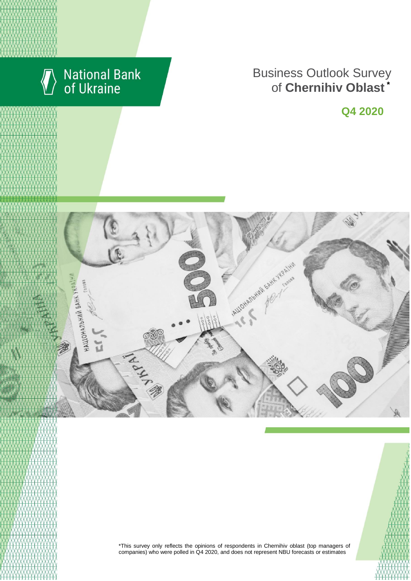

# **National Bank**<br>of Ukraine

### **Rusiness Outlook Surve** пися м. Київської Сергіївської Київської Київської Київської Київської Київської Київської Київської Київської **Business Outlook Survey** enterprises of Chernihiv Oblast **Business Outlook Survey** of **Chernihiv Oblast \***

**Q4 2020**





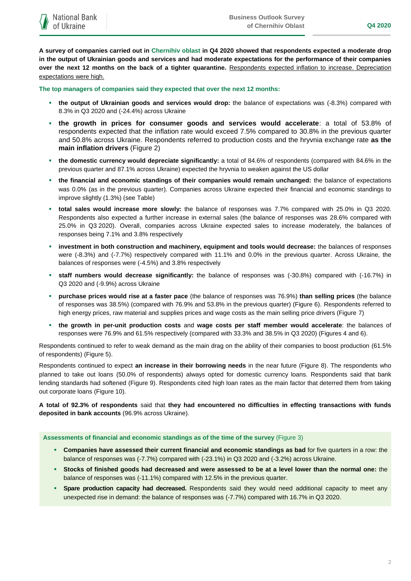**A survey of companies carried out in Chernihiv oblast in Q4 2020 showed that respondents expected a moderate drop in the output of Ukrainian goods and services and had moderate expectations for the performance of their companies over the next 12 months on the back of a tighter quarantine.** Respondents expected inflation to increase. Depreciation expectations were high.

**The top managers of companies said they expected that over the next 12 months:**

- **the output of Ukrainian goods and services would drop:** the balance of expectations was (-8.3%) compared with 8.3% in Q3 2020 and (-24.4%) across Ukraine
- **the growth in prices for consumer goods and services would accelerate**: a total of 53.8% of respondents expected that the inflation rate would exceed 7.5% compared to 30.8% in the previous quarter and 50.8% across Ukraine. Respondents referred to production costs and the hryvnia exchange rate **as the main inflation drivers** (Figure 2)
- **the domestic currency would depreciate significantly:** a total of 84.6% of respondents (compared with 84.6% in the previous quarter and 87.1% across Ukraine) expected the hryvnia to weaken against the US dollar
- **the financial and economic standings of their companies would remain unchanged:** the balance of expectations was 0.0% (as in the previous quarter). Companies across Ukraine expected their financial and economic standings to improve slightly (1.3%) (see Table)
- **total sales would increase more slowly:** the balance of responses was 7.7% compared with 25.0% in Q3 2020. Respondents also expected a further increase in external sales (the balance of responses was 28.6% compared with 25.0% in Q3 2020). Overall, companies across Ukraine expected sales to increase moderately, the balances of responses being 7.1% and 3.8% respectively
- **investment in both construction and machinery, equipment and tools would decrease:** the balances of responses were (-8.3%) and (-7.7%) respectively compared with 11.1% and 0.0% in the previous quarter. Across Ukraine, the balances of responses were (-4.5%) and 3.8% respectively
- **staff numbers would decrease significantly:** the balance of responses was (-30.8%) compared with (-16.7%) in Q3 2020 and (-9.9%) across Ukraine
- **purchase prices would rise at a faster pace** (the balance of responses was 76.9%) **than selling prices** (the balance of responses was 38.5%) (compared with 76.9% and 53.8% in the previous quarter) (Figure 6). Respondents referred to high energy prices, raw material and supplies prices and wage costs as the main selling price drivers (Figure 7)
- **the growth in per-unit production costs** and **wage costs per staff member would accelerate**: the balances of responses were 76.9% and 61.5% respectively (compared with 33.3% and 38.5% in Q3 2020) (Figures 4 and 6).

Respondents continued to refer to weak demand as the main drag on the ability of their companies to boost production (61.5% of respondents) (Figure 5).

Respondents continued to expect **an increase in their borrowing needs** in the near future (Figure 8). The respondents who planned to take out loans (50.0% of respondents) always opted for domestic currency loans. Respondents said that bank lending standards had softened (Figure 9). Respondents cited high loan rates as the main factor that deterred them from taking out corporate loans (Figure 10).

**A total of 92.3% of respondents** said that **they had encountered no difficulties in effecting transactions with funds deposited in bank accounts** (96.9% across Ukraine).

**Assessments of financial and economic standings as of the time of the survey** (Figure 3)

- **Companies have assessed their current financial and economic standings as bad** for five quarters in a row: the balance of responses was (-7.7%) compared with (-23.1%) in Q3 2020 and (-3.2%) across Ukraine.
- **Stocks of finished goods had decreased and were assessed to be at a level lower than the normal one:** the balance of responses was (-11.1%) compared with 12.5% in the previous quarter.
- **Spare production capacity had decreased.** Respondents said they would need additional capacity to meet any unexpected rise in demand: the balance of responses was (-7.7%) compared with 16.7% in Q3 2020.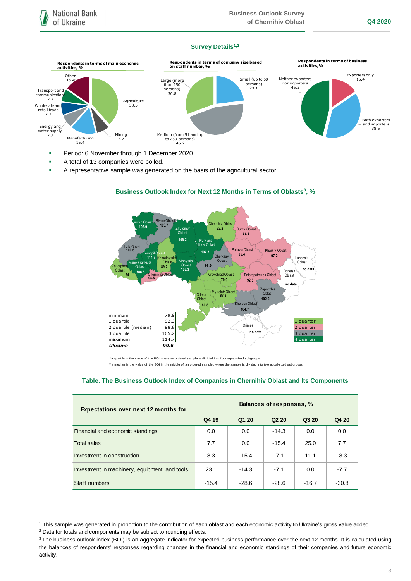## **Survey Details1,2**



- Period: 6 November through 1 December 2020.
- A total of 13 companies were polled.
- A representative sample was generated on the basis of the agricultural sector.



# **Business Outlook Index for Next 12 Months in Terms of Oblasts<sup>3</sup>, %**

\*a quartile is the v alue of the BOI where an ordered sample is divided into four equal-sized subgroups<br>\*\*a median is the v alue of the BOI in the middle of an ordered sampled where the sample is divided into two equal-siz

## **Table. The Business Outlook Index of Companies in Chernihiv Oblast and Its Components**

| <b>Expectations over next 12 months for</b>   | Balances of responses, % |         |                               |         |         |
|-----------------------------------------------|--------------------------|---------|-------------------------------|---------|---------|
|                                               | Q4 19                    | Q1 20   | Q <sub>2</sub> 2 <sub>0</sub> | Q3 20   | Q4 20   |
| Financial and economic standings              | 0.0                      | 0.0     | $-14.3$                       | 0.0     | 0.0     |
| <b>Total sales</b>                            | 7.7                      | 0.0     | $-15.4$                       | 25.0    | 7.7     |
| Investment in construction                    | 8.3                      | $-15.4$ | $-7.1$                        | 11.1    | $-8.3$  |
| Investment in machinery, equipment, and tools | 23.1                     | $-14.3$ | $-7.1$                        | 0.0     | $-7.7$  |
| Staff numbers                                 | $-15.4$                  | $-28.6$ | $-28.6$                       | $-16.7$ | $-30.8$ |

1

<sup>1</sup> This sample was generated in proportion to the contribution of each oblast and each economic activity to Ukraine's gross value added.

<sup>2</sup> Data for totals and components may be subject to rounding effects.

<sup>&</sup>lt;sup>3</sup> The business outlook index (BOI) is an aggregate indicator for expected business performance over the next 12 months. It is calculated using the balances of respondents' responses regarding changes in the financial and economic standings of their companies and future economic activity.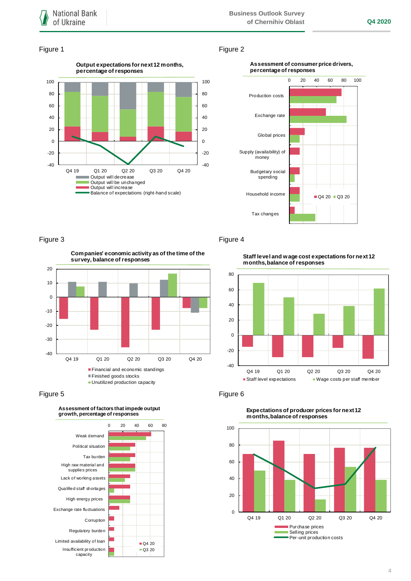## Figure 1 Figure 2



## **Assessment of consumer price drivers, percentage of responses**



Figure 3 Figure 4







**Staff level and wage cost expectations for next 12 months, balance of responses**





**Expectations of producer prices for next 12 months, balance of responses**